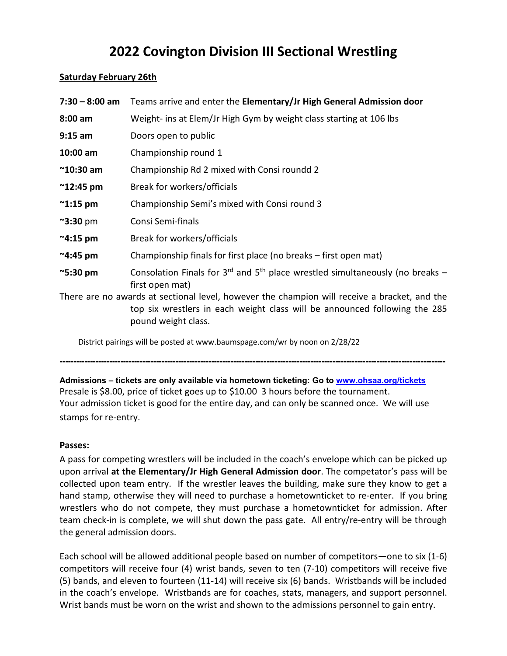# **2022 Covington Division III Sectional Wrestling**

#### **Saturday February 26th**

| $7:30 - 8:00$ am   | Teams arrive and enter the Elementary/Jr High General Admission door                                                                                                                              |
|--------------------|---------------------------------------------------------------------------------------------------------------------------------------------------------------------------------------------------|
| $8:00$ am          | Weight- ins at Elem/Jr High Gym by weight class starting at 106 lbs                                                                                                                               |
| $9:15$ am          | Doors open to public                                                                                                                                                                              |
| 10:00 am           | Championship round 1                                                                                                                                                                              |
| $^{\sim}$ 10:30 am | Championship Rd 2 mixed with Consi roundd 2                                                                                                                                                       |
| $^{\sim}$ 12:45 pm | Break for workers/officials                                                                                                                                                                       |
| $\sim$ 1:15 pm     | Championship Semi's mixed with Consi round 3                                                                                                                                                      |
| $\sim$ 3:30 pm     | Consi Semi-finals                                                                                                                                                                                 |
| $~^{\sim}$ 4:15 pm | Break for workers/officials                                                                                                                                                                       |
| $^{\sim}$ 4:45 pm  | Championship finals for first place (no breaks - first open mat)                                                                                                                                  |
| $\approx$ 5:30 pm  | Consolation Finals for $3^{rd}$ and $5^{th}$ place wrestled simultaneously (no breaks –<br>first open mat)                                                                                        |
|                    | There are no awards at sectional level, however the champion will receive a bracket, and the<br>top six wrestlers in each weight class will be announced following the 285<br>pound weight class. |

District pairings will be posted at www.baumspage.com/wr by noon on 2/28/22

**--------------------------------------------------------------------------------------------------------------------------------------------**

**Admissions – tickets are only available via hometown ticketing: Go to [www.ohsaa.org/tickets](http://www.ohsaa.org/tickets)** Presale is \$8.00, price of ticket goes up to \$10.00 3 hours before the tournament. Your admission ticket is good for the entire day, and can only be scanned once. We will use stamps for re-entry.

## **Passes:**

A pass for competing wrestlers will be included in the coach's envelope which can be picked up upon arrival **at the Elementary/Jr High General Admission door**. The competator's pass will be collected upon team entry. If the wrestler leaves the building, make sure they know to get a hand stamp, otherwise they will need to purchase a hometownticket to re-enter. If you bring wrestlers who do not compete, they must purchase a hometownticket for admission. After team check-in is complete, we will shut down the pass gate. All entry/re-entry will be through the general admission doors.

Each school will be allowed additional people based on number of competitors—one to six (1-6) competitors will receive four (4) wrist bands, seven to ten (7-10) competitors will receive five (5) bands, and eleven to fourteen (11-14) will receive six (6) bands. Wristbands will be included in the coach's envelope. Wristbands are for coaches, stats, managers, and support personnel. Wrist bands must be worn on the wrist and shown to the admissions personnel to gain entry.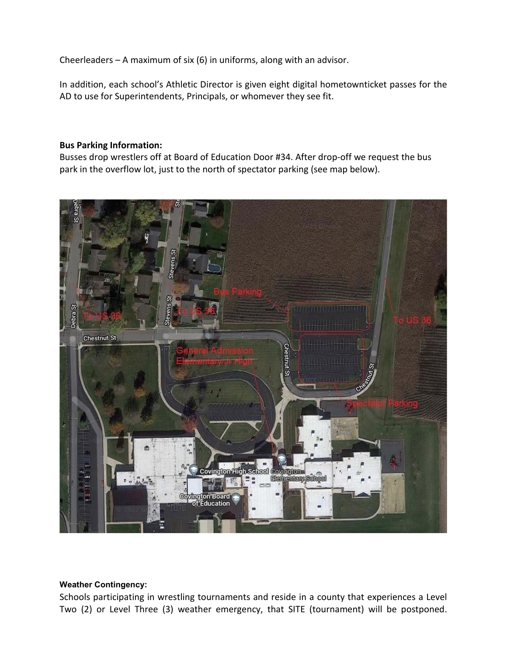Cheerleaders – A maximum of six (6) in uniforms, along with an advisor.

In addition, each school's Athletic Director is given eight digital hometownticket passes for the AD to use for Superintendents, Principals, or whomever they see fit.

#### **Bus Parking Information:**

Busses drop wrestlers off at Board of Education Door #34. After drop-off we request the bus park in the overflow lot, just to the north of spectator parking (see map below).



#### **Weather Contingency:**

Schools participating in wrestling tournaments and reside in a county that experiences a Level Two (2) or Level Three (3) weather emergency, that SITE (tournament) will be postponed.